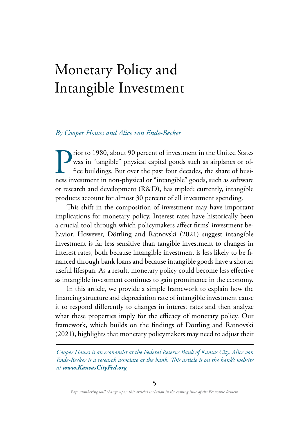# Monetary Policy and Intangible Investment

#### *By Cooper Howes and Alice von Ende-Becker*

**Prior to 1980, about 90 percent of investment in the United States** was in "tangible" physical capital goods such as airplanes or of-<br>fice buildings. But over the past four decades, the share of business investment in non was in "tangible" physical capital goods such as airplanes or office buildings. But over the past four decades, the share of business investment in non-physical or "intangible" goods, such as software or research and development (R&D), has tripled; currently, intangible products account for almost 30 percent of all investment spending.

This shift in the composition of investment may have important implications for monetary policy. Interest rates have historically been a crucial tool through which policymakers affect firms' investment behavior. However, Döttling and Ratnovski (2021) suggest intangible investment is far less sensitive than tangible investment to changes in interest rates, both because intangible investment is less likely to be financed through bank loans and because intangible goods have a shorter useful lifespan. As a result, monetary policy could become less effective as intangible investment continues to gain prominence in the economy.

In this article, we provide a simple framework to explain how the financing structure and depreciation rate of intangible investment cause it to respond differently to changes in interest rates and then analyze what these properties imply for the efficacy of monetary policy. Our framework, which builds on the findings of Döttling and Ratnovski (2021), highlights that monetary policymakers may need to adjust their

*Cooper Howes is an economist at the Federal Reserve Bank of Kansas City. Alice von Ende-Becker is a research associate at the bank. This article is on the bank's website at www.KansasCityFed.org*

*Page numbering will change upon this article's inclusion in the coming issue of the Economic Review.*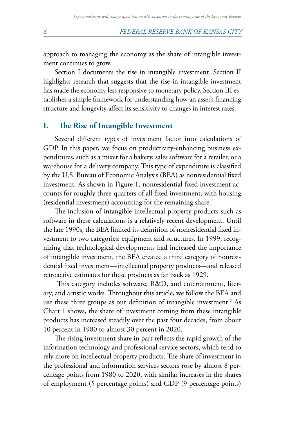approach to managing the economy as the share of intangible investment continues to grow.

Section I documents the rise in intangible investment. Section II highlights research that suggests that the rise in intangible investment has made the economy less responsive to monetary policy. Section III establishes a simple framework for understanding how an asset's financing structure and longevity affect its sensitivity to changes in interest rates.

#### **I. The Rise of Intangible Investment**

Several different types of investment factor into calculations of GDP. In this paper, we focus on productivity-enhancing business expenditures, such as a mixer for a bakery, sales software for a retailer, or a warehouse for a delivery company. This type of expenditure is classified by the U.S. Bureau of Economic Analysis (BEA) as nonresidential fixed investment. As shown in Figure 1, nonresidential fixed investment accounts for roughly three-quarters of all fixed investment, with housing (residential investment) accounting for the remaining share.<sup>[1](#page-11-0)</sup>

The inclusion of intangible intellectual property products such as software in these calculations is a relatively recent development. Until the late 1990s, the BEA limited its definition of nonresidential fixed investment to two categories: equipment and structures. In 1999, recognizing that technological developments had increased the importance of intangible investment, the BEA created a third category of nonresidential fixed investment—intellectual property products—and released retroactive estimates for these products as far back as 1929.

 This category includes software, R&D, and entertainment, literary, and artistic works. Throughout this article, we follow the BEA and use these three groups as our definition of intangible investment.<sup>2</sup> As Chart 1 shows, the share of investment coming from these intangible products has increased steadily over the past four decades, from about 10 percent in 1980 to almost 30 percent in 2020.

The rising investment share in part reflects the rapid growth of the information technology and professional service sectors, which tend to rely more on intellectual property products. The share of investment in the professional and information services sectors rose by almost 8 percentage points from 1980 to 2020, with similar increases in the shares of employment (5 percentage points) and GDP (9 percentage points)

<span id="page-1-0"></span>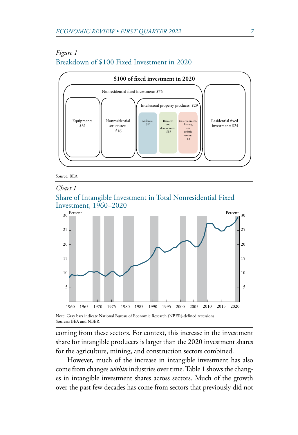## *Figure 1* Breakdown of \$100 Fixed Investment in 2020



Source: BEA.

#### *Chart 1*





Note: Gray bars indicate National Bureau of Economic Research (NBER)-defined recessions. Sources: BEA and NBER.

coming from these sectors. For context, this increase in the investment share for intangible producers is larger than the 2020 investment shares for the agriculture, mining, and construction sectors combined.

However, much of the increase in intangible investment has also come from changes *within* industries over time. Table 1 shows the changes in intangible investment shares across sectors. Much of the growth over the past few decades has come from sectors that previously did not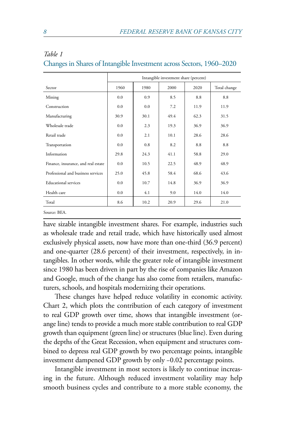|                                     | Intangible investment share (percent) |      |      |      |              |
|-------------------------------------|---------------------------------------|------|------|------|--------------|
| Sector                              | 1960                                  | 1980 | 2000 | 2020 | Total change |
| Mining                              | 0.0                                   | 0.9  | 8.5  | 8.8  | 8.8          |
| Construction                        | 0.0                                   | 0.0  | 7.2  | 11.9 | 11.9         |
| Manufacturing                       | 30.9                                  | 30.1 | 49.4 | 62.3 | 31.5         |
| Wholesale trade                     | 0.0                                   | 2.3  | 19.3 | 36.9 | 36.9         |
| Retail trade                        | 0.0                                   | 2.1  | 10.1 | 28.6 | 28.6         |
| Transportation                      | 0.0                                   | 0.8  | 8.2  | 8.8  | 8.8          |
| Information                         | 29.8                                  | 24.3 | 41.1 | 58.8 | 29.0         |
| Finance, insurance, and real estate | 0.0                                   | 10.5 | 22.5 | 48.9 | 48.9         |
| Professional and business services  | 25.0                                  | 45.8 | 58.4 | 68.6 | 43.6         |
| <b>Educational</b> services         | 0.0                                   | 10.7 | 14.8 | 36.9 | 36.9         |
| Health care                         | 0.0                                   | 4.1  | 9.0  | 14.0 | 14.0         |
| Total                               | 8.6                                   | 10.2 | 20.9 | 29.6 | 21.0         |

#### *Table 1*

### Changes in Shares of Intangible Investment across Sectors, 1960–2020

Source: BEA.

have sizable intangible investment shares. For example, industries such as wholesale trade and retail trade, which have historically used almost exclusively physical assets, now have more than one-third (36.9 percent) and one-quarter (28.6 percent) of their investment, respectively, in intangibles. In other words, while the greater role of intangible investment since 1980 has been driven in part by the rise of companies like Amazon and Google, much of the change has also come from retailers, manufacturers, schools, and hospitals modernizing their operations.

These changes have helped reduce volatility in economic activity. Chart 2, which plots the contribution of each category of investment to real GDP growth over time, shows that intangible investment (orange line) tends to provide a much more stable contribution to real GDP growth than equipment (green line) or structures (blue line). Even during the depths of the Great Recession, when equipment and structures combined to depress real GDP growth by two percentage points, intangible investment dampened GDP growth by only −0.02 percentage points.

Intangible investment in most sectors is likely to continue increasing in the future. Although reduced investment volatility may help smooth business cycles and contribute to a more stable economy, the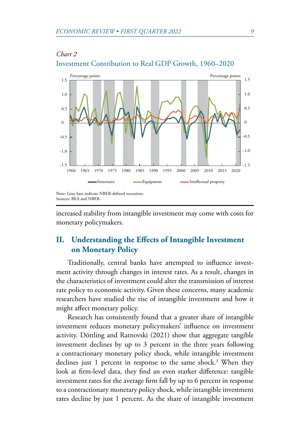<span id="page-4-0"></span>*Chart 2*



# Investment Contribution to Real GDP Growth, 1960–2020

increased stability from intangible investment may come with costs for monetary policymakers.

# **II. Understanding the Effects of Intangible Investment on Monetary Policy**

Traditionally, central banks have attempted to influence investment activity through changes in interest rates. As a result, changes in the characteristics of investment could alter the transmission of interest rate policy to economic activity. Given these concerns, many academic researchers have studied the rise of intangible investment and how it might affect monetary policy.

Research has consistently found that a greater share of intangible investment reduces monetary policymakers' influence on investment activity. Döttling and Ratnovski (2021) show that aggregate tangible investment declines by up to 3 percent in the three years following a contractionary monetary policy shock, while intangible investment declines just 1 percent in response to the same shock.<sup>3</sup> When they look at firm-level data, they find an even starker difference: tangible investment rates for the average firm fall by up to 6 percent in response to a contractionary monetary policy shock, while intangible investment rates decline by just 1 percent. As the share of intangible investment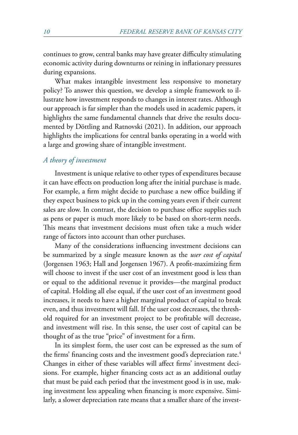<span id="page-5-0"></span>continues to grow, central banks may have greater difficulty stimulating economic activity during downturns or reining in inflationary pressures during expansions.

What makes intangible investment less responsive to monetary policy? To answer this question, we develop a simple framework to illustrate how investment responds to changes in interest rates. Although our approach is far simpler than the models used in academic papers, it highlights the same fundamental channels that drive the results documented by Döttling and Ratnovski (2021). In addition, our approach highlights the implications for central banks operating in a world with a large and growing share of intangible investment.

#### *A theory of investment*

Investment is unique relative to other types of expenditures because it can have effects on production long after the initial purchase is made. For example, a firm might decide to purchase a new office building if they expect business to pick up in the coming years even if their current sales are slow. In contrast, the decision to purchase office supplies such as pens or paper is much more likely to be based on short-term needs. This means that investment decisions must often take a much wider range of factors into account than other purchases.

Many of the considerations influencing investment decisions can be summarized by a single measure known as the *user cost of capital* (Jorgensen 1963; Hall and Jorgensen 1967). A profit-maximizing firm will choose to invest if the user cost of an investment good is less than or equal to the additional revenue it provides—the marginal product of capital. Holding all else equal, if the user cost of an investment good increases, it needs to have a higher marginal product of capital to break even, and thus investment will fall. If the user cost decreases, the threshold required for an investment project to be profitable will decrease, and investment will rise. In this sense, the user cost of capital can be thought of as the true "price" of investment for a firm.

In its simplest form, the user cost can be expressed as the sum of the firms' financing costs and the investment good's depreciation rate.<sup>[4](#page-11-0)</sup> Changes in either of these variables will affect firms' investment decisions. For example, higher financing costs act as an additional outlay that must be paid each period that the investment good is in use, making investment less appealing when financing is more expensive. Similarly, a slower depreciation rate means that a smaller share of the invest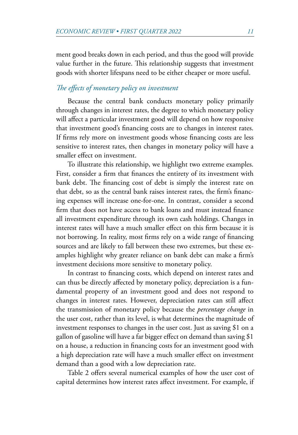ment good breaks down in each period, and thus the good will provide value further in the future. This relationship suggests that investment goods with shorter lifespans need to be either cheaper or more useful.

## *The effects of monetary policy on investment*

Because the central bank conducts monetary policy primarily through changes in interest rates, the degree to which monetary policy will affect a particular investment good will depend on how responsive that investment good's financing costs are to changes in interest rates. If firms rely more on investment goods whose financing costs are less sensitive to interest rates, then changes in monetary policy will have a smaller effect on investment.

To illustrate this relationship, we highlight two extreme examples. First, consider a firm that finances the entirety of its investment with bank debt. The financing cost of debt is simply the interest rate on that debt, so as the central bank raises interest rates, the firm's financing expenses will increase one-for-one. In contrast, consider a second firm that does not have access to bank loans and must instead finance all investment expenditure through its own cash holdings. Changes in interest rates will have a much smaller effect on this firm because it is not borrowing. In reality, most firms rely on a wide range of financing sources and are likely to fall between these two extremes, but these examples highlight why greater reliance on bank debt can make a firm's investment decisions more sensitive to monetary policy.

In contrast to financing costs, which depend on interest rates and can thus be directly affected by monetary policy, depreciation is a fundamental property of an investment good and does not respond to changes in interest rates. However, depreciation rates can still affect the transmission of monetary policy because the *percentage change* in the user cost, rather than its level, is what determines the magnitude of investment responses to changes in the user cost. Just as saving \$1 on a gallon of gasoline will have a far bigger effect on demand than saving \$1 on a house, a reduction in financing costs for an investment good with a high depreciation rate will have a much smaller effect on investment demand than a good with a low depreciation rate.

Table 2 offers several numerical examples of how the user cost of capital determines how interest rates affect investment. For example, if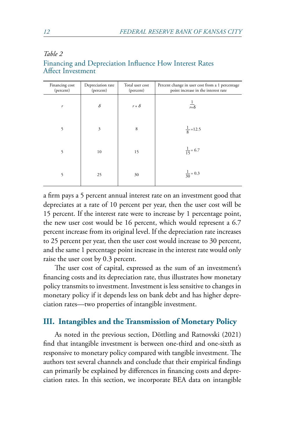| Financing cost<br>(percent) | Depreciation rate<br>(percent) | Total user cost<br>(percent) | Percent change in user cost from a 1 percentage<br>point increase in the interest rate |
|-----------------------------|--------------------------------|------------------------------|----------------------------------------------------------------------------------------|
| r                           | $\delta$                       | $r + \delta$                 | $\frac{1}{r+\delta}$                                                                   |
| 5                           | 3                              | 8                            | $\frac{1}{8}$ =12.5                                                                    |
| 5                           | 10                             | 15                           | $\frac{1}{15}$ = 6.7                                                                   |
| 5                           | 25                             | 30                           | $\frac{1}{30}$ = 0.3                                                                   |

#### *Table 2* Financing and Depreciation Influence How Interest Rates Affect Investment

a firm pays a 5 percent annual interest rate on an investment good that depreciates at a rate of 10 percent per year, then the user cost will be 15 percent. If the interest rate were to increase by 1 percentage point, the new user cost would be 16 percent, which would represent a 6.7 percent increase from its original level. If the depreciation rate increases to 25 percent per year, then the user cost would increase to 30 percent, and the same 1 percentage point increase in the interest rate would only raise the user cost by 0.3 percent.

The user cost of capital, expressed as the sum of an investment's financing costs and its depreciation rate, thus illustrates how monetary policy transmits to investment. Investment is less sensitive to changes in monetary policy if it depends less on bank debt and has higher depreciation rates—two properties of intangible investment.

#### **III. Intangibles and the Transmission of Monetary Policy**

As noted in the previous section, Döttling and Ratnovski (2021) find that intangible investment is between one-third and one-sixth as responsive to monetary policy compared with tangible investment. The authors test several channels and conclude that their empirical findings can primarily be explained by differences in financing costs and depreciation rates. In this section, we incorporate BEA data on intangible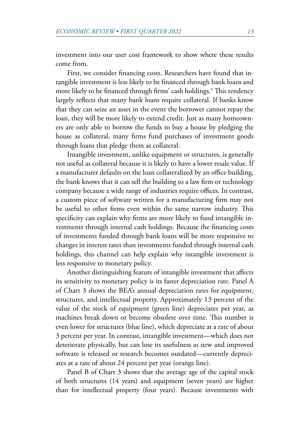<span id="page-8-0"></span>investment into our user cost framework to show where these results come from.

First, we consider financing costs. Researchers have found that intangible investment is less likely to be financed through bank loans and more likely to be financed through firms' cash holdings[.5](#page-11-0) This tendency largely reflects that many bank loans require collateral. If banks know that they can seize an asset in the event the borrower cannot repay the loan, they will be more likely to extend credit. Just as many homeowners are only able to borrow the funds to buy a house by pledging the house as collateral, many firms fund purchases of investment goods through loans that pledge them as collateral.

Intangible investment, unlike equipment or structures, is generally not useful as collateral because it is likely to have a lower resale value. If a manufacturer defaults on the loan collateralized by an office building, the bank knows that it can sell the building to a law firm or technology company because a wide range of industries require offices. In contrast, a custom piece of software written for a manufacturing firm may not be useful to other firms even within the same narrow industry. This specificity can explain why firms are more likely to fund intangible investments through internal cash holdings. Because the financing costs of investments funded through bank loans will be more responsive to changes in interest rates than investments funded through internal cash holdings, this channel can help explain why intangible investment is less responsive to monetary policy.

Another distinguishing feature of intangible investment that affects its sensitivity to monetary policy is its faster depreciation rate. Panel A of Chart 3 shows the BEA's annual depreciation rates for equipment, structures, and intellectual property. Approximately 13 percent of the value of the stock of equipment (green line) depreciates per year, as machines break down or become obsolete over time. This number is even lower for structures (blue line), which depreciate at a rate of about 3 percent per year. In contrast, intangible investment—which does not deteriorate physically, but can lose its usefulness as new and improved software is released or research becomes outdated—currently depreciates at a rate of about 24 percent per year (orange line).

Panel B of Chart 3 shows that the average age of the capital stock of both structures (14 years) and equipment (seven years) are higher than for intellectual property (four years). Because investments with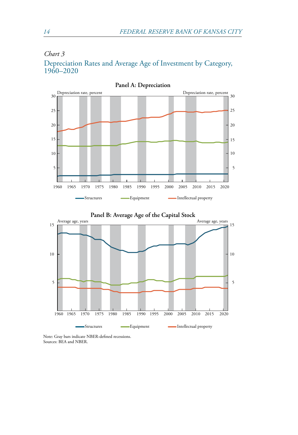

#### *Chart 3*

## Depreciation Rates and Average Age of Investment by Category, 1960–2020



Note: Gray bars indicate NBER-defined recessions. Sources: BEA and NBER.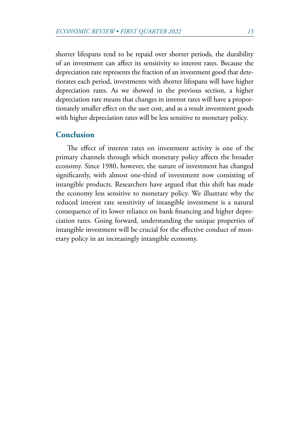shorter lifespans tend to be repaid over shorter periods, the durability of an investment can affect its sensitivity to interest rates. Because the depreciation rate represents the fraction of an investment good that deteriorates each period, investments with shorter lifespans will have higher depreciation rates. As we showed in the previous section, a higher depreciation rate means that changes in interest rates will have a proportionately smaller effect on the user cost, and as a result investment goods with higher depreciation rates will be less sensitive to monetary policy.

#### **Conclusion**

The effect of interest rates on investment activity is one of the primary channels through which monetary policy affects the broader economy. Since 1980, however, the nature of investment has changed significantly, with almost one-third of investment now consisting of intangible products. Researchers have argued that this shift has made the economy less sensitive to monetary policy. We illustrate why the reduced interest rate sensitivity of intangible investment is a natural consequence of its lower reliance on bank financing and higher depreciation rates. Going forward, understanding the unique properties of intangible investment will be crucial for the effective conduct of monetary policy in an increasingly intangible economy.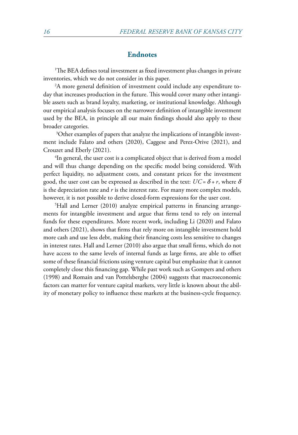#### **Endnotes**

<span id="page-11-0"></span>[1](#page-1-0) The BEA defines total investment as fixed investment plus changes in private inventories, which we do not consider in this paper.

 $2\mathrm{A}$  $2\mathrm{A}$  more general definition of investment could include any expenditure today that increases production in the future. This would cover many other intangible assets such as brand loyalty, marketing, or institutional knowledge. Although our empirical analysis focuses on the narrower definition of intangible investment used by the BEA, in principle all our main findings should also apply to these broader categories.

[3](#page-4-0) Other examples of papers that analyze the implications of intangible investment include Falato and others (2020), Caggese and Perez-Orive (2021), and Crouzet and Eberly (2021).

<sup>[4](#page-5-0)</sup>In general, the user cost is a complicated object that is derived from a model and will thus change depending on the specific model being considered. With perfect liquidity, no adjustment costs, and constant prices for the investment good, the user cost can be expressed as described in the text:  $UC = \delta + r$ , where  $\delta$ is the depreciation rate and *r* is the interest rate. For many more complex models, however, it is not possible to derive closed-form expressions for the user cost.

[5](#page-8-0) Hall and Lerner (2010) analyze empirical patterns in financing arrangements for intangible investment and argue that firms tend to rely on internal funds for these expenditures. More recent work, including Li (2020) and Falato and others (2021), shows that firms that rely more on intangible investment hold more cash and use less debt, making their financing costs less sensitive to changes in interest rates. Hall and Lerner (2010) also argue that small firms, which do not have access to the same levels of internal funds as large firms, are able to offset some of these financial frictions using venture capital but emphasize that it cannot completely close this financing gap. While past work such as Gompers and others (1998) and Romain and van Pottelsberghe (2004) suggests that macroeconomic factors can matter for venture capital markets, very little is known about the ability of monetary policy to influence these markets at the business-cycle frequency.